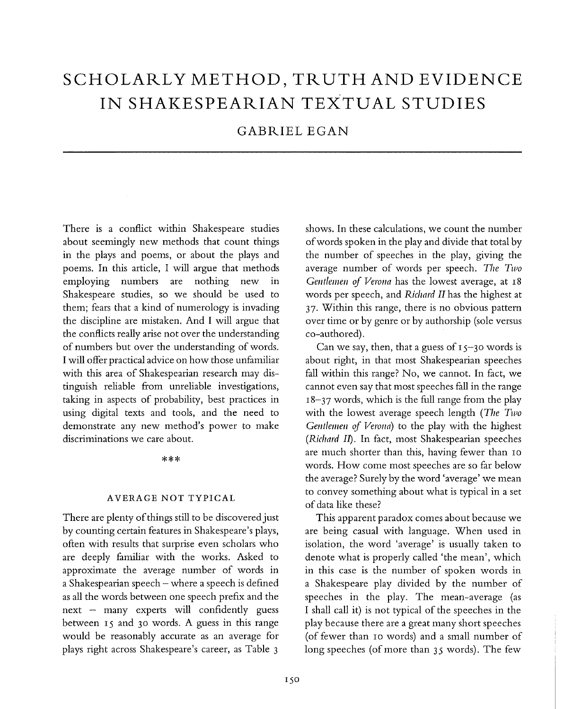# **SCHOLARLY METHOD, TRUTH AND EVIDENCE IN SHAKESPEARIAN TEXTUAL STUDIES**

# GABRIEL EGAN

There is a conflict within Shakespeare studies about seemingly new methods that count things in the plays and poems, or about the plays and poems. In this article, I will argue that methods employing numbers are nothing new in Shakespeare studies, so we should be used to them; fears that a kind of numerology is invading the discipline are mistaken. And I will argue that the conflicts really arise not over the understanding of numbers but over the understanding of words. I will offer practical advice on how those unfamiliar with this area of Shakespearian research may distinguish reliable from unreliable investigations, taking in aspects of probability, best practices in using digital texts and tools, and the need to demonstrate any new method's power to make discriminations we care about.

\*\*\*

#### AVERAGE NOT TYPICAL

There are plenty of things still to be discovered just by counting certain features in Shakespeare's plays, often with results that surprise even scholars who are deeply familiar with the works. Asked to approximate the average number of words in a Shakespearian speech - where a speech is defined as all the words between one speech prefix and the next - many experts will confidently guess between 15 and 30 words. A guess in this range would be reasonably accurate as an average for plays right across Shakespeare's career, as Table 3

shows. In these calculations, we count the number of words spoken in the play and divide that total by the number of speeches in the play, giving the average number of words per speech. *The Two*  Gentlemen of Verona has the lowest average, at 18 words per speech, and *Richard II* has the highest at 37. Within this range, there is no obvious pattern over time or by genre or by authorship (sole versus co-authored).

Can we say, then, that a guess of  $15-30$  words is about right, in that most Shakespearian speeches fall within this range? No, we cannot. In fact, we cannot even say that most speeches fall in the range  $18-37$  words, which is the full range from the play with the lowest average speech length *(The Two Gentlemen of Verona*) to the play with the highest *(Richard II).* In fact, most Shakespearian speeches are much shorter than this, having fewer than ro words. How come most speeches are so far below the average? Surely by the word 'average' we mean to convey something about what is typical in a set of data like these?

This apparent paradox comes about because we are being casual with language. When used in isolation, the word 'average' is usually taken to denote what is properly called 'the mean', which in this case is the number of spoken words in a Shakespeare play divided by the number of speeches in the play. The mean-average (as I shall call it) is not typical of the speeches in the play because there are a great many short speeches (of fewer than ro words) and a small number of long speeches (of more than 35 words). The few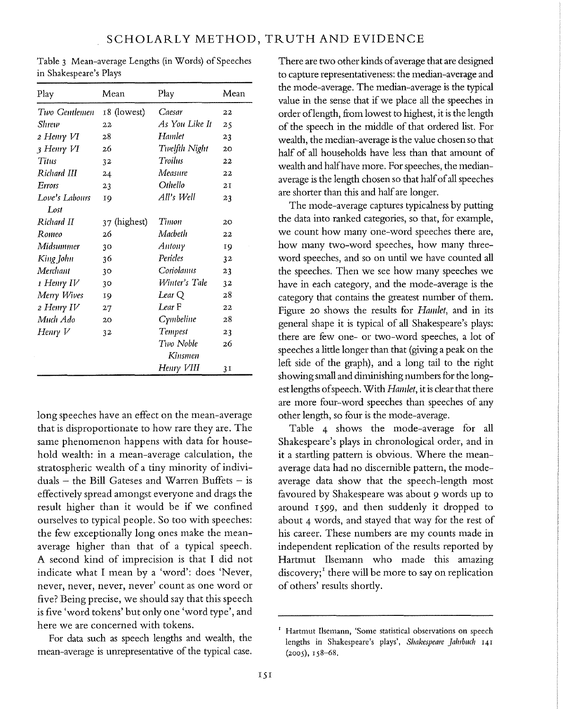| Table 3 Mean-average Lengths (in Words) of Speeches |  |  |
|-----------------------------------------------------|--|--|
| in Shakespeare's Plays                              |  |  |

| Play           | Mean         | Play                | Mean           |
|----------------|--------------|---------------------|----------------|
| Two Gentlemen  | 18 (lowest)  | Caesar              | 22             |
| Shrew          | 22           | As You Like It      | 25             |
| 2 Henry VI     | 28           | Hamlet              | 23             |
| 3 Henry VI     | 26           | Twelfth Night       | 20             |
| Titus          | 32           | Troilus             | 22             |
| Richard III    | 24           | Measure             | 22             |
| Errors         | 23           | Othello             | 2I             |
| Love's Labours | 19           | All's Well          | 23             |
| Lost           |              |                     |                |
| Richard II     | 37 (highest) | Timon               | 20             |
| Romeo          | 26           | Macbeth             | 22             |
| Midsummer      | 30           | Antony              | 19             |
| King John      | 36           | Pericles            | 32             |
| Merchant       | 30           | Coriolanus          | 23             |
| 1 Henry IV     | 30           | Winter's Tale       | 3 <sup>2</sup> |
| Merry Wives    | 19           | Lear Q              | 28             |
| $2$ Henry IV   | 27           | Lear F              | 22             |
| Much Ado       | 20           | $C$ <i>ymbeline</i> | 28             |
| Henry $V$      | 32           | Tempest             | 23             |
|                |              | Two Noble           | 26             |
|                |              | Kinsmen             |                |
|                |              | Henry VIII          | 3 <sub>1</sub> |

long speeches have an effect on the mean-average that is disproportionate to how rare they are. The same phenomenon happens with data for household wealth: in a mean-average calculation, the stratospheric wealth of a tiny minority of individuals  $-$  the Bill Gateses and Warren Buffets  $-$  is effectively spread amongst everyone and drags the result higher than it would be if we confined ourselves to typical people. So too with speeches: the few exceptionally long ones make the meanaverage higher than that of a typical speech. A second kind of imprecision is that I did not indicate what I mean by a 'word': does 'Never, never, never, never, never' count as one word or five? Being precise, we should say that this speech is five 'word tokens' but only one 'word type', and here we are concerned with tokens.

For data such as speech lengths and wealth, the mean-average is unrepresentative of the typical case.

There are two other kinds of average that are designed to capture representativeness: the median-average and the mode-average. The median-average is the typical value in the sense that if we place all the speeches in order oflength, from lowest to highest, it is the length of the speech in the middle of that ordered list. For wealth, the median-average is the value chosen so that half of all households have less than that amount of wealth and half have more. For speeches, the medianaverage is the length chosen so that half of all speeches are shorter than this and half are longer.

The mode-average captures typicalness by putting the data into ranked categories, so that, for example, we count how many one-word speeches there are, how many two-word speeches, how many threeword speeches, and so on until we have counted all the speeches. Then we see how many speeches we have in each category, and the mode-average is the category that contains the greatest number of them. Figure 20 shows the results for *Hamlet*, and in its general shape it is typical of all Shakespeare's plays: there are few one- or two-word speeches, a lot of speeches a little longer than that (giving a peak on the left side of the graph), and a long tail to the right showing small and diminishing numbers for the longest lengths of speech. With *Hamlet,* it is clear that there are more four-word speeches than speeches of any other length, so four is the mode-average.

Table 4 shows the mode-average for all Shakespeare's plays in chronological order, and in it a startling pattern is obvious. Where the meanaverage data had no discernible pattern, the modeaverage data show that the speech-length most favoured by Shakespeare was about 9 words up to around I 599, and then suddenly it dropped to about 4 words, and stayed that way for the rest of his career. These numbers are my counts made in independent replication of the results reported by Hartmut Ilsemann who made this amazing discovery;<sup>1</sup> there will be more to say on replication of others' results shortly.

<sup>&#</sup>x27; Hartmut Ilsemann, 'Some statistical observations on speech lengths in Shakespeare's plays', *Shakespeare Jahrbuch* 141  $(2005), 158-68,$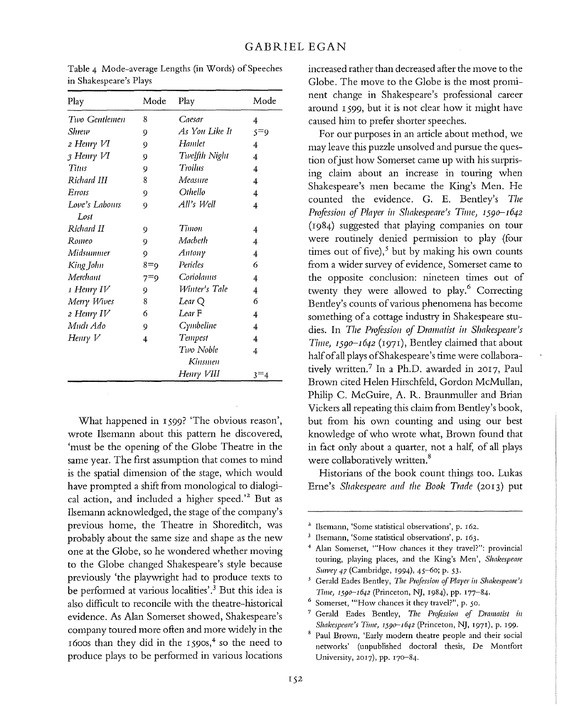| Play           | Mode           | Play                | Mode           |
|----------------|----------------|---------------------|----------------|
| Two Gentlemen  | 8              | Caesar              | 4              |
| Shrew          | 9              | As You Like It      | $5=9$          |
| 2 Henry VI     | 9              | Hamlet              | 4              |
| $3$ Henry $VI$ | 9              | Twelfth Night       | 4              |
| Titus          | 9              | Troilus             | 4              |
| Richard III    | 8              | Measure             | 4              |
| Errors         | 9              | Othello             | 4              |
| Love's Labours | 9              | All's Well          | $\overline{4}$ |
| Lost           |                |                     |                |
| Richard II     | 9              | Timon               | $\overline{4}$ |
| Romeo          | 9              | Macbeth             | 4              |
| Midsummer      | 9              | Antony              | 4              |
| King John      | $8 = Q$        | Pericles            | 6              |
| Merchant       | $7 = 9$        | Coriolanus          | 4              |
| 1 Henry IV     | 9              | Winter's Tale       | 4              |
| Merry Wives    | 8              | Lear Q              | б              |
| 2 Henry IV     | 6              | Lear F              | 4              |
| Mudi Ado       | 9              | $C$ <i>ymbeline</i> | 4              |
| Henry V        | $\overline{4}$ | Tempest             | 4              |
|                |                | Two Noble           | 4              |
|                |                | Kinsmen             |                |
|                |                | Henry VIII          | $3 = 4$        |

Table 4 Mode-average Lengths (in Words) of Speeches in Shakespeare's Plays

What happened in 1599? 'The obvious reason', wrote Ilsemann about this pattern he discovered, 'must be the opening of the Globe Theatre in the same year. The first assumption that comes to mind is the spatial dimension of the stage, which would have prompted a shift from monological to dialogical action, and included a higher speed.<sup>2</sup> But as Ilsemann acknowledged, the stage of the company's previous home, the Theatre in Shoreditch, was probably about the same size and shape as the new one at the Globe, so he wondered whether moving to the Globe changed Shakespeare's style because previously 'the playwright had to produce texts to be performed at various localities'.<sup>3</sup> But this idea is also difficult to reconcile with the theatre-historical evidence. As Alan Somerset showed, Shakespeare's company toured more often and more widely in the 1600s than they did in the  $1590s$ ,<sup>4</sup> so the need to produce plays to be performed in various locations

increased rather than decreased after the move to the Globe. The move to the Globe is the most prominent change in Shakespeare's professional career around 1599, but it is not clear how it might have caused him to prefer shorter speeches.

For our purposes in an article about method, we may leave this puzzle unsolved and pursue the question of just how Somerset came up with his surprising claim about an increase in touring when Shakespeare's men became the King's Men. He counted the evidence. G. E. Bentley's *The Profession of Player in Shakespeare's Time, 1590-1642* (1984) suggested that playing companies on tour were routinely denied permission to play (four times out of five), $<sup>5</sup>$  but by making his own counts</sup> from a wider survey of evidence, Somerset came to the opposite conclusion: nineteen times out of twenty they were allowed to play. $6$  Correcting Bentley's counts of various phenomena has become something of a cottage industry in Shakespeare studies. In The Profession of Dramatist in Shakespeare's *Time, 1590-1642* (1971), Bentley claimed that about half of all plays ofShakespeare's time were collaboratively written.7 In a Ph.D. awarded in 2017, Paul Brown cited Helen Hirschfeld, Gordon McMullan, Philip C. McGuire, A. R. Braunmuller and Brian Vickers all repeating this claim from Bentley's book, but from his own counting and using our best knowledge of who wrote what, Brown found that in fact only about a quarter, not a half, of all plays were collaboratively written.<sup>8</sup>

Historians of the book count things too. Lukas Erne's *Shakespeare and the Book Trade* (2013) put

<sup>2</sup> Ilsemann, 'Some statistical observations', p. 162.

<sup>3</sup> Ilsemann, 'Some statistical observations', p. 163.

<sup>4</sup> Alan Somerset, "'How chances it they travel?": provincial touring, playing places, and the King's Men', *Shakespeare S111vey 47* (Cambridge, 1994), 45-60; p. 53. 5 Gerald Eades Bentley, *T/Ie Professio11* ef *Player* i11 *Shakespeare's* 

*Ti111e, 1590--1642* (Princeton, NJ, r984), pp. 177-84.

<sup>&</sup>lt;sup>6</sup> Somerset, "How chances it they travel?", p. 50.

<sup>&</sup>lt;sup>7</sup> Gerald Eades Bentley, *The Profession of Dramatist in Shakespeare's Time*, 1590-1642 (Princeton, NJ, 1971), p. 199.

<sup>&</sup>lt;sup>8</sup> Paul Brown, 'Early modern theatre people and their social networks' (unpublished doctoral thesis, De Montfort University, 20r7), pp. r70-84.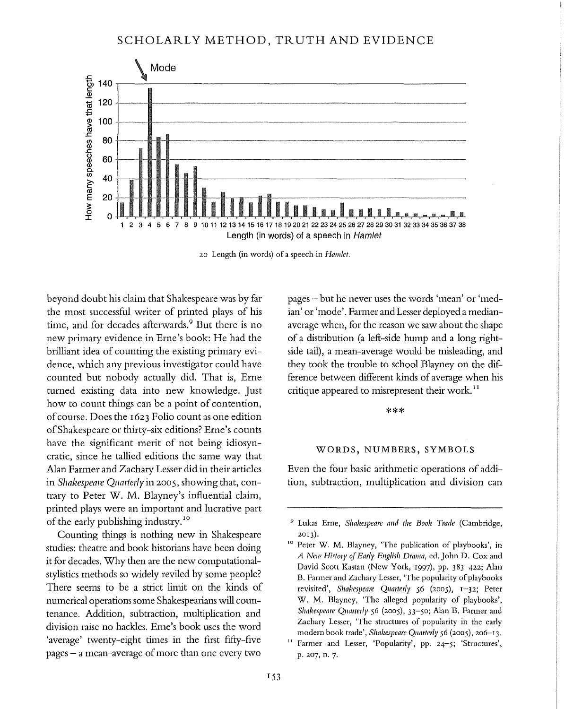### SCHOLARLY METHOD, TRUTH AND EVIDENCE



20 Length (in words) of a speech in *Hamlet.* 

beyond doubt his claim that Shakespeare was by far the most successful writer of printed plays of his time, and for decades afterwards.<sup>9</sup> But there is no new primary evidence in Erne's book: He had the brilliant idea of counting the existing primary evidence, which any previous investigator could have counted but nobody actually did. That is, Erne turned existing data into new knowledge. Just how to count things can be a point of contention, of course. Does the 1623 Folio count as one edition of Shakespeare or thirty-six editions? Erne's counts have the significant merit of not being idiosyncratic, since he tallied editions the same way that Alan Farmer and Zachary Lesser did in their articles in *Shakespeare Quarterly* in 2005, showing that, contrary to Peter W. M. Blayney's influential claim, printed plays were an important and lucrative part of the early publishing industry.<sup>10</sup>

Counting things is nothing new in Shakespeare studies: theatre and book historians have been doing it for decades. Why then are the new computationalstylistics methods so widely reviled by some people? There seems to be a strict limit on the kinds of numerical operations some Shakespearians will countenance. Addition, subtraction, multiplication and division raise no hackles. Erne's book uses the word 'average' twenty-eight times in the first fifty-five pages - a mean-average of more than one every two

pages – but he never uses the words 'mean' or 'median' or 'mode'. Farmer and Lesser deployed a medianaverage when, for the reason we saw about the shape of a distribution (a left-side hump and a long rightside tail), a mean-average would be misleading, and they took the trouble to school Blayney on the difference between different kinds of average when his critique appeared to misrepresent their work.<sup>11</sup>

#### \*\*\*

#### WORDS, NUMBERS, SYMBOLS

Even the four basic arithmetic operations of addition, subtraction, multiplication and division can

<sup>9</sup> Lukas Erne, *Shakespeare a11d the Book Trade* (Cambridge, 2013).

<sup>&</sup>lt;sup>10</sup> Peter W. M. Blayney, 'The publication of playbooks', in *A Nell' History* ef *Early E11glish Drama,* ed. John D. Cox and David Scott Kastan (New York, 1997), pp. 383-422; Alan B. Farmer and Zachary Lesser, 'The popularity of playbooks revisited', *Shakespeare Quarterly 56 (2005)*, 1-32; Peter W. M. Blayney, 'The alleged popularity of playbooks', *Shakespeare Q11arterly 56* (2005), 33-50; Alan B. Farmer and Zachary Lesser, 'The structures of popularity in the early modern book trade', *Shakespeare Quarterly 56* (2005), 206-13. 11 Farmer and Lesser, 'Popularity', pp. 24-5; 'Structures',

p. 207, n. 7,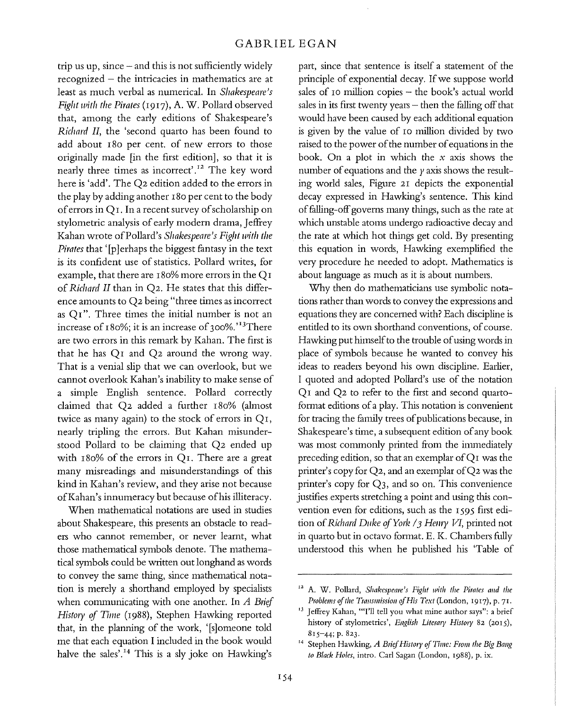trip us up, since - and this is not sufficiently widely recognized - the intricacies in mathematics are at least as much verbal as numerical. In *Shakespeare's Fight with the Pirates* (r9r7), A. W. Pollard observed that, among the early editions of Shakespeare's *Richard* II, the 'second quarto has been found to add about 180 per cent. of new errors to those originally made [in the first edition], so that it is nearly three times as incorrect'.<sup>12</sup> The key word here is 'add'. The Q2 edition added to the errors in the play by adding another r So per cent to the body of errors in Qr. In a recent survey of scholarship on stylometric analysis of early modern drama, Jeffrey Kahan wrote ofPollard's *Shakespeare's Fight 111ith the Pirates* that '[p]erhaps the biggest fantasy in the text is its confident use of statistics. Pollard writes, for example, that there are r 80% more errors in the Qr of *Richard* II than in Q2. He states that this difference amounts to Q2 being "three times as incorrect as Qr". Three times the initial number is not an increase of r8o%; it is an increase of 300%. ' 13There are two errors in this remark by Kahan. The first is that he has Qr and Q2 around the wrong way. That is a venial slip that we can overlook, but we cannot overlook Kahan's inability to make sense of a simple English sentence. Pollard correctly claimed that Q2 added a further r8o% (almost twice as many again) to the stock of errors in Qr, nearly tripling the errors. But Kahan misunderstood Pollard to be claiming that Q2 ended up with 180% of the errors in Q1. There are a great many misreadings and misunderstandings of this kind in Kahan's review, and they arise not because ofKahan's innumeracy but because ofhis illiteracy.

When mathematical notations are used in studies about Shakespeare, this presents an obstacle to readers who cannot remember, or never learnt, what those mathematical symbols denote. The mathematical symbols could be written out longhand as words to convey the same thing, since mathematical notation is merely a shorthand employed by specialists when communicating with one another. In *A Brief History* ef *Time* (r988), Stephen Hawking reported that, in the planning of the work, '[s]omeone told me that each equation I included in the book would halve the sales'.<sup>14</sup> This is a sly joke on Hawking's

part, since that sentence is itself a statement of the principle of exponential decay. If we suppose world sales of 10 million copies - the book's actual world sales in its first twenty years  $-$  then the falling off that would have been caused by each additional equation is given by the value of ro million divided by two raised to the power of the number of equations in the book. On a plot in which the *x* axis shows the number of equations and the *y* axis shows the resulting world sales, Figure 2r depicts the exponential decay expressed in Hawking's sentence. This kind of falling-off governs many things, such as the rate at which unstable atoms undergo radioactive decay and the rate at which hot things get cold. By presenting this equation in words, Hawking exemplified the very procedure he needed to adopt. Mathematics is about language as much as it is about numbers.

Why then do mathematicians use symbolic notations rather than words to convey the expressions and equations they are concerned with? Each discipline is entitled to its own shorthand conventions, of course. Hawking put himself to the trouble of using words in place of symbols because he wanted to convey his ideas to readers beyond his own discipline. Earlier, I quoted and adopted Pollard's use of the notation Qr and Q2 to refer to the first and second quartoformat editions of a play. This notation is convenient for tracing the family trees of publications because, in Shakespeare's time, a subsequent edition of any book was most connnonly printed from the innnediately preceding edition, so that an exemplar of Qr was the printer's copy for Q2, and an exemplar ofQ2 was the printer's copy for Q3, and so on. This convenience justifies experts stretching a point and using this convention even for editions, such as the r595 first edition of *Richard Duke of York* /3 Henry VI, printed not in quarto but in octavo fonnat. E. K. Chambers fully understood this when he published his 'Table of

<sup>&</sup>lt;sup>12</sup> A. W. Pollard, *Shakespeare's Fight with the Pirates and the Problems efthe Tra11s111issio11 of His Text* (London, 1917), p. 7r.

<sup>&</sup>lt;sup>13</sup> Jeffrey Kahan, "'I'll tell you what mine author says": a brief history of stylometrics', *English Literary History* 82 (2015), 815-44; p. 823.

<sup>&</sup>lt;sup>14</sup> Stephen Hawking, *A Brief History of Time: From the Big Bang to Black Holes,* intro. Carl Sagan (London, 1988), p. ix.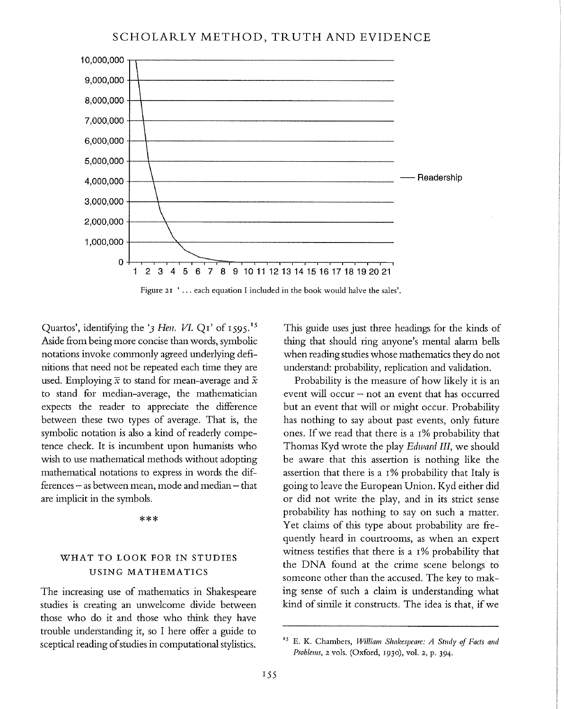

Figure  $2I$  '... each equation I included in the book would halve the sales'.

Quartos', identifying the '3 Hen. VI. Q1' of 1595.<sup>15</sup> Aside from being more concise than words, symbolic notations invoke commonly agreed underlying definitions that need not be repeated each time they are used. Employing  $\bar{x}$  to stand for mean-average and  $\tilde{x}$ to stand for median-average, the mathematician expects the reader to appreciate the difference between these two types of average. That is, the symbolic notation is also a kind of readerly competence check. It is incumbent upon humanists who wish to use mathematical methods without adopting mathematical notations to express in words the differences - as between mean, mode and median - that are implicit in the symbols.

\*\*\*

## WHAT TO LOOK FOR IN STUDIES USING MATHEMATICS

The increasing use of mathematics in Shakespeare studies is creating an unwelcome divide between those who do it and those who think they have trouble understanding it, so I here offer a guide to sceptical reading of studies in computational stylistics. This guide uses just three headings for the kinds of thing that should ring anyone's mental alann bells when reading studies whose mathematics they do not understand: probability, replication and validation.

Probability is the measure of how likely it is an event will occur  $-$  not an event that has occurred but an event that will or might occur. Probability has nothing to say about past events, only future ones. If we read that there is a 1% probability that Thomas Kyd wrote the play *Edward III,* we should be aware that this assertion is nothing like the assertion that there is a 1% probability that Italy is going to leave the European Union. Kyd either did or did not write the play, and in its strict sense probability has nothing to say on such a matter. Yet claims of this type about probability are frequently heard in courtrooms, as when an expert witness testifies that there is a 1% probability that the DNA found at the crime scene belongs to someone other than the accused. The key to making sense of such a claim is understanding what kind of simile it constructs. The idea is that, if we

<sup>&</sup>lt;sup>15</sup> E. K. Chambers, *William Shakespeare: A Study of Facts and Proble111s,* 2 vols. (Oxford, 1930), vol. 2, p. 394.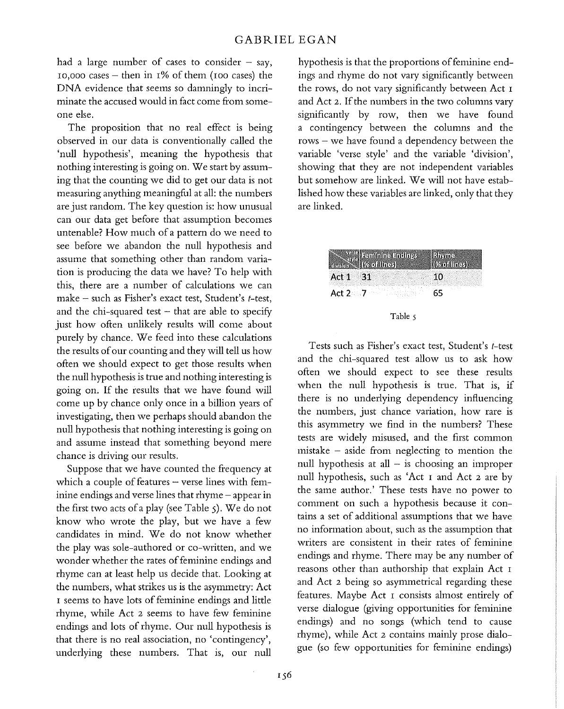had a large number of cases to consider  $-$  say,  $10,000$  cases - then in  $1\%$  of them (100 cases) the DNA evidence that seems so damningly to incriminate the accused would in fact come from someone else.

The proposition that no real effect is being observed in our data is conventionally called the 'null hypothesis', meaning the hypothesis that nothing interesting is going on. We start by assuming that the counting we did to get our data is not measuring anything meaningful at all: the numbers are just random. The key question is: how unusual can our data get before that assumption becomes untenable? How much of a pattern do we need to see before we abandon the null hypothesis and assume that something other than random variation is producing the data we have? To help with this, there are a number of calculations we can make - such as Fisher's exact test, Student's t-test, and the chi-squared test  $-$  that are able to specify just how often unlikely results will come about purely by chance. We feed into these calculations the results of our counting and they will tell us how often we should expect to get those results when the null hypothesis is true and nothing interesting is going on. If the results that we have found will come up by chance only once in a billion years of investigating, then we perhaps should abandon the null hypothesis that nothing interesting is going on and assume instead that something beyond mere chance is driving our results.

Suppose that we have counted the frequency at which a couple of features - verse lines with feminine endings and verse lines that rhyme  $-$  appear in the first two acts of a play (see Table  $\zeta$ ). We do not know who wrote the play, but we have a few candidates in mind. We do not know whether the play was sole-authored or co-written, and we wonder whether the rates of feminine endings and rhyme can at least help us decide that. Looking at the numbers, what strikes us is the asymmetry: Act r seems to have lots of feminine endings and little rhyme, while Act 2 seems to have few feminine endings and lots of rhyme. Our null hypothesis is that there is no real association, no 'contingency', underlying these numbers. That is, our null hypothesis is that the proportions of feminine endings and rhyme do not vary significantly between the rows, do not vary significantly between Act I and Act 2. If the numbers in the two columns vary significantly by row, then we have found a contingency between the columns and the rows - we have found a dependency between the variable 'verse style' and the variable 'division', showing that they are not independent variables but somehow are linked. We will not have established how these variables are linked, only that they are linked.

| Verse Feminine Endings |       |     | Rhyme<br>(% of lines) |
|------------------------|-------|-----|-----------------------|
|                        |       |     |                       |
| Act 1                  | $-31$ | -10 |                       |
| Act $2 \times 7$       |       | 65  |                       |
|                        |       |     |                       |

#### Table 5

Tests such as Fisher's exact test, Student's t-test and the chi-squared test allow us to ask how often we should expect to see these results when the null hypothesis is true. That is, if there is no underlying dependency influencing the numbers, just chance variation, how rare is this asymmetry we find in the numbers? These tests are widely misused, and the first common mistake  $-$  aside from neglecting to mention the null hypothesis at  $all - is choosing an improper$ null hypothesis, such as 'Act r and Act 2 are by the same author.' These tests have no power to comment on such a hypothesis because it contains a set of additional assumptions that we have no information about, such as the assumption that writers are consistent in their rates of feminine endings and rhyme. There may be any number of reasons other than authorship that explain Act r and Act 2 being so asymmetrical regarding these features. Maybe Act r consists ahnost entirely of verse dialogue (giving opportunities for feminine endings) and no songs (which tend to cause rhyme), while Act 2 contains mainly prose dialogue (so few opportunities for feminine endings)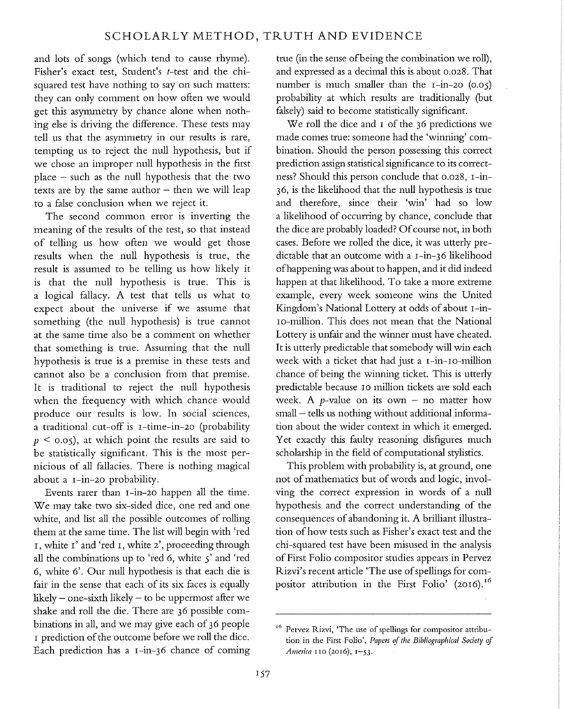and lots of songs (which tend to cause rhyme). Fisher's exact test, Student's *t-test* and the chisquared test have nothing to say on such matters: they can only comment on how often we would get this asymmetry by chance alone when nothing else is driving the difference. These tests may tell us that the asymmetry in our results is rare, tempting us to reject the null hypothesis, but if we chose an improper null hypothesis in the first  $place - such as the null hypothesis that the two$ texts are by the same author  $-$  then we will leap to a false conclusion when we reject it.

The second common error is inverting the meaning of the results of the test, so that instead of telling us how often we would get those results when the null hypothesis is true, the result is assumed to be telling us how likely it is that the null hypothesis is true. This is a logical fallacy. A test that tells us what to expect about the universe if we assume that something (the null hypothesis) is true cannot at the same time also be a comment on whether that something is true. Assuming that the null hypothesis is true is a premise in these tests and cannot also be a conclusion from that premise. It is traditional to reject the null hypothesis when the frequency with which chance would produce our results is low. In social sciences, a traditional cut-off is l-time-in-20 (probability  $p \le 0.05$ , at which point the results are said to be statistically significant. This is the most pernicious of all fallacies. There is nothing magical about a 1-in-20 probability.

Events rarer than 1-in-20 happen all the time. We may take two six-sided dice, one red and one white, and list all the possible outcomes of rolling them at the same time. The list will begin with 'red I, white I' and 'red I, white 2', proceeding through all the combinations up to 'red  $6$ , white  $5'$  and 'red 6, white 6'. Our null hypothesis is that each die is fair in the sense that each of its six faces is equally likely  $-$  one-sixth likely  $-$  to be uppermost after we shake and roll the die. There are 36 possible combinations in all, and we may give each of 36 people I prediction of the outcome before we roll the dice. Each prediction has a  $I$ -in-36 chance of coming

true (in the sense ofbeing the combination we roll), and expressed as a decimal this is about 0.028. That number is much smaller than the  $I$ -in-20 (0.05) probability at which results are traditionally (but falsely) said to become statistically significant.

We roll the dice and  $\bar{1}$  of the 36 predictions we made comes true: someone had the 'winning' combination. Should the person possessing this correct prediction assign statistical significance to its correctness? Should this person conclude that 0.028, 1-in-36, is the likelihood that the null hypothesis is true and therefore, since their 'win' had so low a likelihood of occurring by chance, conclude that the dice are probably loaded? Of course not, in both cases. Before we rolled the dice, it was utterly predictable that an outcome with a 1-in-36 likelihood of happening was about to happen, and it did indeed happen at that likelihood. To take a more extreme example, every week someone wins the United Kingdom's National Lottery at odds of about 1-inro-million. This does not mean that the National Lottery is unfair and the winner must have cheated. It is utterly predictable that somebody will win each week with a ticket that had just a 1-in-ro-million chance of being the winning ticket. This is utterly predictable because ro million tickets are sold each week. A  $p$ -value on its own - no matter how small - tells us nothing without additional information about the wider context in which it emerged. Yet exactly this faulty reasoning disfigures much scholarship in the field of computational stylistics.

This problem with probability is, at ground, one not of mathematics but of words and logic, involving the correct expression in words of a null hypothesis and the correct understanding of the consequences of abandoning it. A brilliant illustration of how tests such as Fisher's exact test and the chi-squared test have been misused in the analysis of First Folio compositor studies appears in Pervez Rizvi's recent article 'The use of spellings for compositor attribution in the First Folio' (2016). 16

<sup>16</sup> Pervez Rizvi, 'The use of spellings for compositor attribution in the First Folio', *Papers* ef *tlte Bibliograpltical Society* ef *America* 110 (2016), 1-53.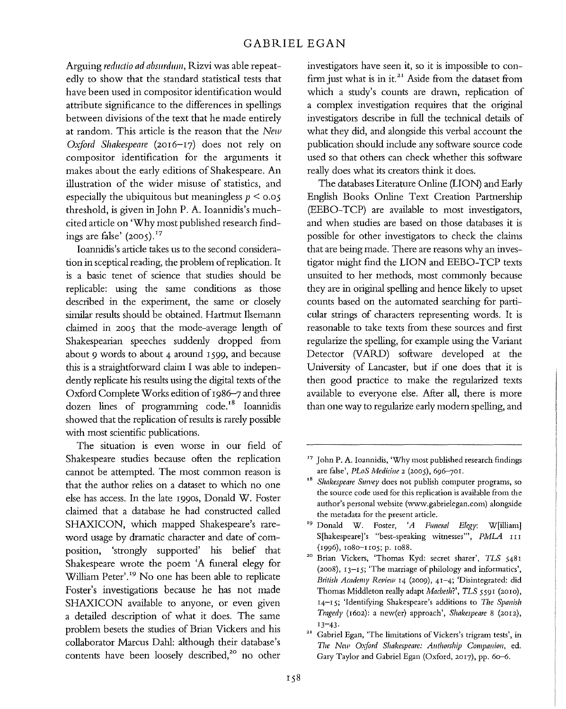Arguing *reductio ad absurdum*, Rizvi was able repeatedly to show that the standard statistical tests that have been used in compositor identification would attribute significance to the differences in spellings between divisions of the text that he made entirely at random. This article is the reason that the *New Oxford Shakespeare* (2016-17) does not rely on compositor identification for the arguments it makes about the early editions of Shakespeare. An illustration of the wider misuse of statistics, and especially the ubiquitous but meaningless  $p < 0.05$ threshold, is given in John P.A. Ioannidis's muchcited article on 'Why most published research findings are false'  $(2005)^{17}$ 

Ioannidis's article takes us to the second consideration in sceptical reading, the problem of replication. It is a basic tenet of science that studies should be replicable: using the same conditions as those described in the experiment, the same or closely similar results should be obtained. Hartmut Ilsemann claimed in 2005 that the mode-average length of Shakespearian speeches suddenly dropped from about *9* words to about 4 around 1599, and because this is a straightforward claim I was able to independently replicate his results using the digital texts of the Oxford Complete Works edition of 1986-7 and three dozen lines of programming code. 18 Ioannidis showed that the replication of results is rarely possible with most scientific publications.

The situation is even worse in our field of Shakespeare studies because often the replication cannot be attempted. The most common reason is that the author relies on a dataset to which no one else has access. In the late 1990s, Donald W. Foster claimed that a database he had constructed called SHAXICON, which mapped Shakespeare's rareword usage by dramatic character and date of composition, 'strongly supported' his belief that Shakespeare wrote the poem 'A funeral elegy for William Peter'.<sup>19</sup> No one has been able to replicate Foster's investigations because he has not made SHAXICON available to anyone, or even given a detailed description of what it does. The same problem besets the studies of Brian Vickers and his collaborator Marcus Dahl: although their database's contents have been loosely described,<sup>20</sup> no other

investigators have seen it, so it is impossible to confirm just what is in it. $21$  Aside from the dataset from which a study's counts are drawn, replication of a complex investigation requires that the original investigators describe in full the technical details of what they did, and alongside this verbal account the publication should include any software source code used so that others can check whether this software really does what its creators think it does.

The databases Literature Online (LION) and Early English Books Online Text Creation Partnership (BEBO-TCP) are available to most investigators, and when studies are based on those databases it is possible for other investigators to check the claims that are being made. There are reasons why an investigator might find the LION and BEBO-TCP texts unsuited to her methods, most commonly because they are in original spelling and hence likely to upset counts based on the automated searching for particular strings of characters representing words. It is reasonable to take texts from these sources and first regularize the spelling, for example using the Variant Detector (VARD) software developed at the University of Lancaster, but if one does that it is then good practice to make the regularized texts available to everyone else. After all, there is more than one way to regularize early modem spelling, and

<sup>&</sup>lt;sup>17</sup> John P. A. Ioannidis, 'Why most published research findings are false', *PLoS Medicine* 2 (2005), 696-701.

<sup>&</sup>lt;sup>18</sup> Shakespeare Survey does not publish computer programs, so the source code used for this replication is available from the author's personal website (www.gabrielegan.com) alongside the metadata for the present article.

<sup>&</sup>lt;sup>19</sup> Donald W. Foster, *'A Funeral Elegy*: W[illiam] S[hakespeare]'s "best-speaking witnesses"', PMLA III (1996), ro80--rro5; p. ro88. 20 Brian Vickers, 'Thomas Kyd: secret sharer', *TLS* <sup>5481</sup>

<sup>(2008),</sup>  $13-15$ ; 'The marriage of philology and informatics', British Academy Review 14 (2009), 41-4; 'Disintegrated: did Thomas Middleton really adapt *Macbeth?', TLS* 5591 (2oro), 14-r 5; 'Identifying Shakespeare's additions to *711e Spanish Tragedy* (1602): a new(er) approach', *Shakespeare* 8 (2012),  $13-43.$ <sup>21</sup> Cabrie

<sup>&#</sup>x27; Gabriel Egan, 'The limitations of Vickers's trigram tests', in *The New Oxford Shakespeare: Authorship Companion, ed.* Gary Taylor and Gabriel Egan (Oxford, 2017), pp. 60-6.